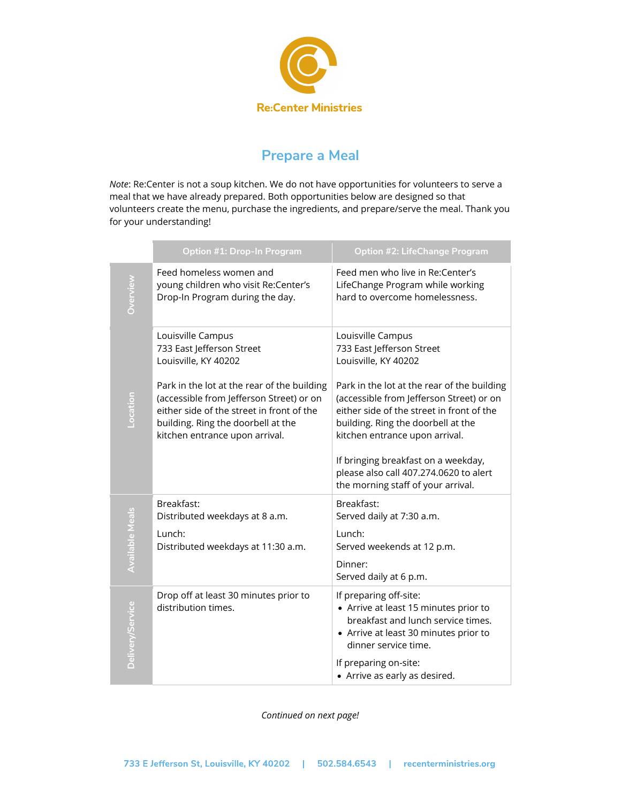

## **Prepare a Meal**

*Note*: Re:Center is not a soup kitchen. We do not have opportunities for volunteers to serve a meal that we have already prepared. Both opportunities below are designed so that volunteers create the menu, purchase the ingredients, and prepare/serve the meal. Thank you for your understanding!

|                        | Option #1: Drop-In Program                                                                                                                                                                                   | <b>Option #2: LifeChange Program</b>                                                                                                                                                                         |
|------------------------|--------------------------------------------------------------------------------------------------------------------------------------------------------------------------------------------------------------|--------------------------------------------------------------------------------------------------------------------------------------------------------------------------------------------------------------|
| Overview               | Feed homeless women and<br>young children who visit Re:Center's<br>Drop-In Program during the day.                                                                                                           | Feed men who live in Re:Center's<br>LifeChange Program while working<br>hard to overcome homelessness.                                                                                                       |
|                        | Louisville Campus<br>733 East Jefferson Street<br>Louisville, KY 40202                                                                                                                                       | Louisville Campus<br>733 East Jefferson Street<br>Louisville, KY 40202                                                                                                                                       |
|                        | Park in the lot at the rear of the building<br>(accessible from Jefferson Street) or on<br>either side of the street in front of the<br>building. Ring the doorbell at the<br>kitchen entrance upon arrival. | Park in the lot at the rear of the building<br>(accessible from Jefferson Street) or on<br>either side of the street in front of the<br>building. Ring the doorbell at the<br>kitchen entrance upon arrival. |
|                        |                                                                                                                                                                                                              | If bringing breakfast on a weekday,<br>please also call 407.274.0620 to alert<br>the morning staff of your arrival.                                                                                          |
| <b>Available Meals</b> | Breakfast:<br>Distributed weekdays at 8 a.m.                                                                                                                                                                 | Breakfast:<br>Served daily at 7:30 a.m.                                                                                                                                                                      |
|                        | Lunch:<br>Distributed weekdays at 11:30 a.m.                                                                                                                                                                 | Lunch:<br>Served weekends at 12 p.m.                                                                                                                                                                         |
|                        |                                                                                                                                                                                                              | Dinner:<br>Served daily at 6 p.m.                                                                                                                                                                            |
| Delivery/Service       | Drop off at least 30 minutes prior to<br>distribution times.                                                                                                                                                 | If preparing off-site:<br>• Arrive at least 15 minutes prior to<br>breakfast and lunch service times.<br>• Arrive at least 30 minutes prior to<br>dinner service time.                                       |
|                        |                                                                                                                                                                                                              | If preparing on-site:<br>• Arrive as early as desired.                                                                                                                                                       |

*Continued on next page!*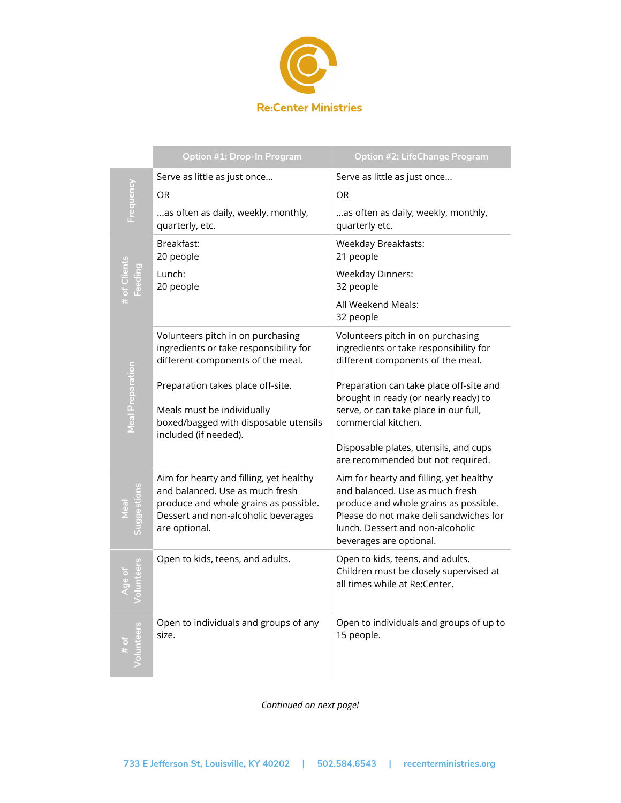

|                         | <b>Option #1: Drop-In Program</b>                                                                                                                                           | <b>Option #2: LifeChange Program</b>                                                                                                                                                                                         |
|-------------------------|-----------------------------------------------------------------------------------------------------------------------------------------------------------------------------|------------------------------------------------------------------------------------------------------------------------------------------------------------------------------------------------------------------------------|
| <b>Frequency</b>        | Serve as little as just once                                                                                                                                                | Serve as little as just once                                                                                                                                                                                                 |
|                         | <b>OR</b>                                                                                                                                                                   | <b>OR</b>                                                                                                                                                                                                                    |
|                         | as often as daily, weekly, monthly,<br>quarterly, etc.                                                                                                                      | as often as daily, weekly, monthly,<br>quarterly etc.                                                                                                                                                                        |
| # of Clients<br>Feeding | Breakfast:<br>20 people                                                                                                                                                     | <b>Weekday Breakfasts:</b><br>21 people                                                                                                                                                                                      |
|                         | Lunch:<br>20 people                                                                                                                                                         | <b>Weekday Dinners:</b><br>32 people                                                                                                                                                                                         |
|                         |                                                                                                                                                                             | All Weekend Meals:<br>32 people                                                                                                                                                                                              |
| <b>Meal Preparation</b> | Volunteers pitch in on purchasing<br>ingredients or take responsibility for<br>different components of the meal.                                                            | Volunteers pitch in on purchasing<br>ingredients or take responsibility for<br>different components of the meal.                                                                                                             |
|                         | Preparation takes place off-site.<br>Meals must be individually<br>boxed/bagged with disposable utensils<br>included (if needed).                                           | Preparation can take place off-site and<br>brought in ready (or nearly ready) to<br>serve, or can take place in our full,<br>commercial kitchen.                                                                             |
|                         |                                                                                                                                                                             | Disposable plates, utensils, and cups<br>are recommended but not required.                                                                                                                                                   |
| uggestions              | Aim for hearty and filling, yet healthy<br>and balanced. Use as much fresh<br>produce and whole grains as possible.<br>Dessert and non-alcoholic beverages<br>are optional. | Aim for hearty and filling, yet healthy<br>and balanced. Use as much fresh<br>produce and whole grains as possible.<br>Please do not make deli sandwiches for<br>lunch. Dessert and non-alcoholic<br>beverages are optional. |
| olunteers               | Open to kids, teens, and adults.                                                                                                                                            | Open to kids, teens, and adults.<br>Children must be closely supervised at<br>all times while at Re:Center.                                                                                                                  |
| unteers                 | Open to individuals and groups of any<br>size.                                                                                                                              | Open to individuals and groups of up to<br>15 people.                                                                                                                                                                        |

*Continued on next page!*